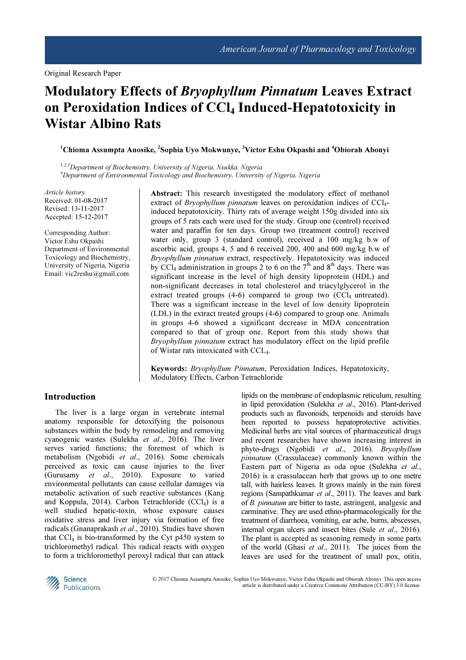# Modulatory Effects of Bryophyllum Pinnatum Leaves Extract on Peroxidation Indices of CCl<sub>4</sub> Induced-Hepatotoxicity in Wistar Albino Rats

 $^1$ Chioma Assumpta Anosike,  $^2$ Sophia Uyo Mokwunye,  $^3$ Victor Eshu Okpashi and  $^4$ Obiorah Abonyi

1,2,3Department of Biochemistry, University of Nigeria, Nsukka, Nigeria <sup>4</sup>Department of Environmental Toxicology and Biochemistry, University of Nigeria, Nigeria

Article history Received: 01-08-2017 Revised: 13-11-2017 Accepted: 15-12-2017

Corresponding Author: Victor Eshu Okpashi Department of Environmental Toxicology and Biochemistry, University of Nigeria, Nigeria Email: vic2reshu@gmail.com

Abstract: This research investigated the modulatory effect of methanol extract of *Bryophyllum pinnatum* leaves on peroxidation indices of  $CCl<sub>4</sub>$ induced hepatotoxicity. Thirty rats of average weight 150g divided into six groups of 5 rats each were used for the study. Group one (control) received water and paraffin for ten days. Group two (treatment control) received water only, group 3 (standard control), received a 100 mg/kg b.w of ascorbic acid, groups 4, 5 and 6 received 200, 400 and 600 mg/kg b.w of Bryophyllum pinnatum extract, respectively. Hepatotoxicity was induced by CCl<sub>4</sub> administration in groups 2 to 6 on the  $7<sup>th</sup>$  and 8<sup>th</sup> days. There was significant increase in the level of high density lipoprotein (HDL) and non-significant decreases in total cholesterol and triacylglycerol in the extract treated groups  $(4-6)$  compared to group two  $(CCl<sub>4</sub>$  untreated). There was a significant increase in the level of low density lipoprotein (LDL) in the extract treated groups (4-6) compared to group one. Animals in groups 4-6 showed a significant decrease in MDA concentration compared to that of group one. Report from this study shows that Bryophyllum pinnatum extract has modulatory effect on the lipid profile of Wistar rats intoxicated with CCL4.

Keywords: Bryophyllum Pinnatum, Peroxidation Indices, Hepatotoxicity, Modulatory Effects, Carbon Tetrachloride

## Introduction

The liver is a large organ in vertebrate internal anatomy responsible for detoxifying the poisonous substances within the body by remodeling and removing cyanogenic wastes (Sulekha et al., 2016). The liver serves varied functions; the foremost of which is metabolism (Ngobidi et al., 2016). Some chemicals perceived as toxic can cause injuries to the liver (Gurusamy et al., 2010). Exposure to varied environmental pollutants can cause cellular damages via metabolic activation of such reactive substances (Kang and Koppula, 2014). Carbon Tetrachloride  $(CCl<sub>4</sub>)$  is a well studied hepatic-toxin, whose exposure causes oxidative stress and liver injury via formation of free radicals (Gnanaprakash et al., 2010). Studies have shown that  $CCl<sub>4</sub>$  is bio-transformed by the Cyt p450 system to trichloromethyl radical. This radical reacts with oxygen to form a trichloromethyl peroxyl radical that can attack

lipids on the membrane of endoplasmic reticulum, resulting in lipid peroxidation (Sulekha et al., 2016). Plant-derived products such as flavonoids, terpenoids and steroids have been reported to possess hepatoprotective activities. Medicinal herbs are vital sources of pharmaceutical drugs and recent researches have shown increasing interest in phyto-drugs (Ngobidi et al., 2016). Bryophyllum pinnatum (Crassulaceae) commonly known within the Eastern part of Nigeria as oda opue (Sulekha et al., 2016) is a crassulacean herb that grows up to one metre tall, with hairless leaves. It grows mainly in the rain forest regions (Sampathkumar et al., 2011). The leaves and bark of B. pinnatum are bitter to taste, astringent, analgesic and carminative. They are used ethno-pharmacologically for the treatment of diarrhoea, vomiting, ear ache, burns, abscesses, internal organ ulcers and insect bites (Sule *et al.*, 2016). The plant is accepted as seasoning remedy in some parts of the world (Ghasi et al., 2011). The juices from the leaves are used for the treatment of small pox, otitis,



© 2017 Chioma Assumpta Anosike, Sophia Uyo Mokwunye, Victor Eshu Okpashi and Obiorah Abonyi. This open access article is distributed under a Creative Commons Attribution (CC-BY) 3.0 license.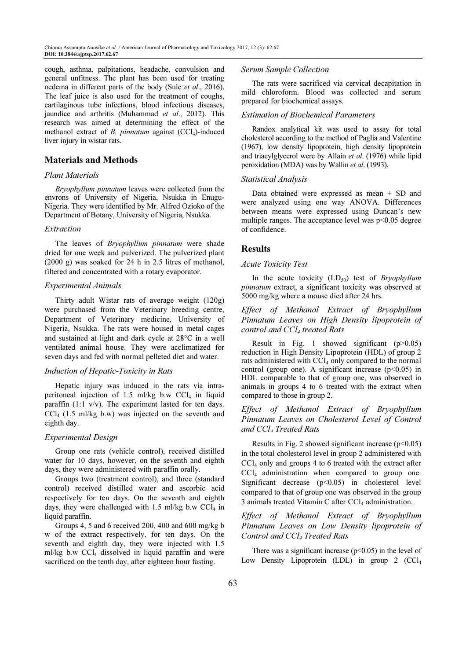cough, asthma, palpitations, headache, convulsion and general unfitness. The plant has been used for treating oedema in different parts of the body (Sule et al., 2016). The leaf juice is also used for the treatment of coughs, cartilaginous tube infections, blood infectious diseases, jaundice and arthritis (Muhammad et al., 2012). This research was aimed at determining the effect of the methanol extract of  $B$ . *pinnatum* against (CCl<sub>4</sub>)-induced liver injury in wistar rats.

## Materials and Methods

## Plant Materials

Bryophyllum pinnatum leaves were collected from the envrons of University of Nigeria, Nsukka in Enugu-Nigeria. They were identified by Mr. Alfred Ozioko of the Department of Botany, University of Nigeria, Nsukka.

#### Extraction

The leaves of Bryophyllum pinnatum were shade dried for one week and pulverized. The pulverized plant (2000 g) was soaked for 24 h in 2.5 litres of methanol, filtered and concentrated with a rotary evaporator.

## Experimental Animals

Thirty adult Wistar rats of average weight (120g) were purchased from the Veterinary breeding centre, Department of Veterinary medicine, University of Nigeria, Nsukka. The rats were housed in metal cages and sustained at light and dark cycle at 28°C in a well ventilated animal house. They were acclimatized for seven days and fed with normal pelleted diet and water.

## Induction of Hepatic-Toxicity in Rats

Hepatic injury was induced in the rats via intraperitoneal injection of 1.5 ml/kg b.w  $CCl<sub>4</sub>$  in liquid paraffin (1:1  $v/v$ ). The experiment lasted for ten days.  $CCl<sub>4</sub>$  (1.5 ml/kg b.w) was injected on the seventh and eighth day.

#### Experimental Design

Group one rats (vehicle control), received distilled water for 10 days, however, on the seventh and eighth days, they were administered with paraffin orally.

Groups two (treatment control), and three (standard control) received distilled water and ascorbic acid respectively for ten days. On the seventh and eighth days, they were challenged with 1.5 ml/kg b.w  $CCl<sub>4</sub>$  in liquid paraffin.

Groups 4, 5 and 6 received 200, 400 and 600 mg/kg b w of the extract respectively, for ten days. On the seventh and eighth day, they were injected with 1.5 ml/kg b.w CCl4 dissolved in liquid paraffin and were sacrificed on the tenth day, after eighteen hour fasting.

#### Serum Sample Collection

The rats were sacrificed via cervical decapitation in mild chloroform. Blood was collected and serum prepared for biochemical assays.

## Estimation of Biochemical Parameters

Randox analytical kit was used to assay for total cholesterol according to the method of Paglia and Valentine (1967), low density lipoprotein, high density lipoprotein and triacylglycerol were by Allain et al. (1976) while lipid peroxidation (MDA) was by Wallin et al. (1993).

#### Statistical Analysis

Data obtained were expressed as mean + SD and were analyzed using one way ANOVA. Differences between means were expressed using Duncan's new multiple ranges. The acceptance level was p<0.05 degree of confidence.

## Results

#### Acute Toxicity Test

In the acute toxicity  $(LD_{50})$  test of *Bryophyllum* pinnatum extract, a significant toxicity was observed at 5000 mg/kg where a mouse died after 24 hrs.

## Effect of Methanol Extract of Bryophyllum Pinnatum Leaves on High Density lipoprotein of control and CCl<sub>4</sub> treated Rats

Result in Fig. 1 showed significant  $(p>0.05)$ reduction in High Density Lipoprotein (HDL) of group 2 rats administered with  $CCl_4$  only compared to the normal control (group one). A significant increase  $(p<0.05)$  in HDL comparable to that of group one, was observed in animals in groups 4 to 6 treated with the extract when compared to those in group 2.

# Effect of Methanol Extract of Bryophyllum Pinnatum Leaves on Cholesterol Level of Control and CCl4 Treated Rats

Results in Fig. 2 showed significant increase  $(p<0.05)$ in the total cholesterol level in group 2 administered with CCl4 only and groups 4 to 6 treated with the extract after CCl4 administration when compared to group one. Significant decrease (p<0.05) in cholesterol level compared to that of group one was observed in the group 3 animals treated Vitamin C after  $CCl_4$  administration.

## Effect of Methanol Extract of Bryophyllum Pinnatum Leaves on Low Density lipoprotein of Control and CCl<sub>4</sub> Treated Rats

There was a significant increase  $(p<0.05)$  in the level of Low Density Lipoprotein (LDL) in group  $2$  (CCl<sub>4</sub>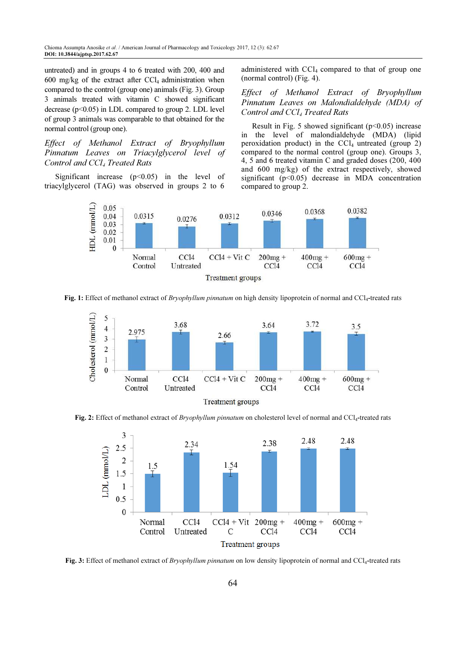untreated) and in groups 4 to 6 treated with 200, 400 and 600 mg/kg of the extract after  $CCl_4$  administration when compared to the control (group one) animals (Fig. 3). Group 3 animals treated with vitamin C showed significant decrease  $(p<0.05)$  in LDL compared to group 2. LDL level of group 3 animals was comparable to that obtained for the normal control (group one).

Effect of Methanol Extract of Bryophyllum Pinnatum Leaves on Triacylglycerol level of Control and CCl<sub>4</sub> Treated Rats

Significant increase  $(p<0.05)$  in the level of triacylglycerol (TAG) was observed in groups 2 to 6

administered with  $\text{CCl}_4$  compared to that of group one (normal control) (Fig. 4).

Effect of Methanol Extract of Bryophyllum Pinnatum Leaves on Malondialdehyde (MDA) of Control and CCl<sub>4</sub> Treated Rats

Result in Fig. 5 showed significant ( $p<0.05$ ) increase in the level of malondialdehyde (MDA) (lipid peroxidation product) in the  $\text{CCl}_4$  untreated (group 2) compared to the normal control (group one). Groups 3, 4, 5 and 6 treated vitamin C and graded doses (200, 400 and 600 mg/kg) of the extract respectively, showed significant ( $p$ <0.05) decrease in MDA concentration compared to group 2.



Fig. 1: Effect of methanol extract of *Bryophyllum pinnatum* on high density lipoprotein of normal and  $\text{CC}l_4$ -treated rats



Fig. 2: Effect of methanol extract of *Bryophyllum pinnatum* on cholesterol level of normal and CCl<sub>4</sub>-treated rats



Fig. 3: Effect of methanol extract of *Bryophyllum pinnatum* on low density lipoprotein of normal and  $\text{CC}l_4$ -treated rats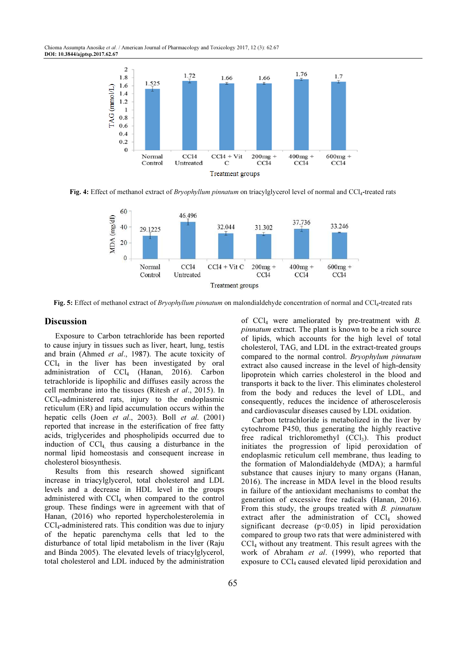Chioma Assumpta Anosike et al. / American Journal of Pharmacology and Toxicology 2017, 12 (3): 62.67 DOI: 10.3844/ajptsp.2017.62.67



Fig. 4: Effect of methanol extract of *Bryophyllum pinnatum* on triacylglycerol level of normal and CCl<sub>4</sub>-treated rats



Fig. 5: Effect of methanol extract of *Bryophyllum pinnatum* on malondialdehyde concentration of normal and CCl<sub>4</sub>-treated rats

## **Discussion**

Exposure to Carbon tetrachloride has been reported to cause injury in tissues such as liver, heart, lung, testis and brain (Ahmed et al., 1987). The acute toxicity of  $CCl<sub>4</sub>$  in the liver has been investigated by oral administration of CCl<sub>4</sub> (Hanan, 2016). Carbon tetrachloride is lipophilic and diffuses easily across the cell membrane into the tissues (Ritesh et al., 2015). In CCl4-administered rats, injury to the endoplasmic reticulum (ER) and lipid accumulation occurs within the hepatic cells (Joen et al., 2003). Boll et al. (2001) reported that increase in the esterification of free fatty acids, triglycerides and phospholipids occurred due to induction of  $\text{CCl}_4$  thus causing a disturbance in the normal lipid homeostasis and consequent increase in cholesterol biosynthesis.

Results from this research showed significant increase in triacylglycerol, total cholesterol and LDL levels and a decrease in HDL level in the groups administered with  $\text{CCl}_4$  when compared to the control group. These findings were in agreement with that of Hanan, (2016) who reported hypercholesterolemia in CCl4-administered rats. This condition was due to injury of the hepatic parenchyma cells that led to the disturbance of total lipid metabolism in the liver (Raju and Binda 2005). The elevated levels of triacylglycerol, total cholesterol and LDL induced by the administration of  $CCl<sub>4</sub>$  were ameliorated by pre-treatment with B. pinnatum extract. The plant is known to be a rich source of lipids, which accounts for the high level of total cholesterol, TAG, and LDL in the extract-treated groups compared to the normal control. Bryophylum pinnatum extract also caused increase in the level of high-density lipoprotein which carries cholesterol in the blood and transports it back to the liver. This eliminates cholesterol from the body and reduces the level of LDL, and consequently, reduces the incidence of atheroscelerosis and cardiovascular diseases caused by LDL oxidation.

Carbon tetrachloride is metabolized in the liver by cytochrome P450, thus generating the highly reactive free radical trichloromethyl  $(CCl<sub>3</sub>)$ . This product initiates the progression of lipid peroxidation of endoplasmic reticulum cell membrane, thus leading to the formation of Malondialdehyde (MDA); a harmful substance that causes injury to many organs (Hanan, 2016). The increase in MDA level in the blood results in failure of the antioxidant mechanisms to combat the generation of excessive free radicals (Hanan, 2016). From this study, the groups treated with B. pinnatum extract after the administration of  $CCl<sub>4</sub>$  showed significant decrease (p<0.05) in lipid peroxidation compared to group two rats that were administered with CCl4 without any treatment. This result agrees with the work of Abraham et al. (1999), who reported that exposure to CCl<sub>4</sub> caused elevated lipid peroxidation and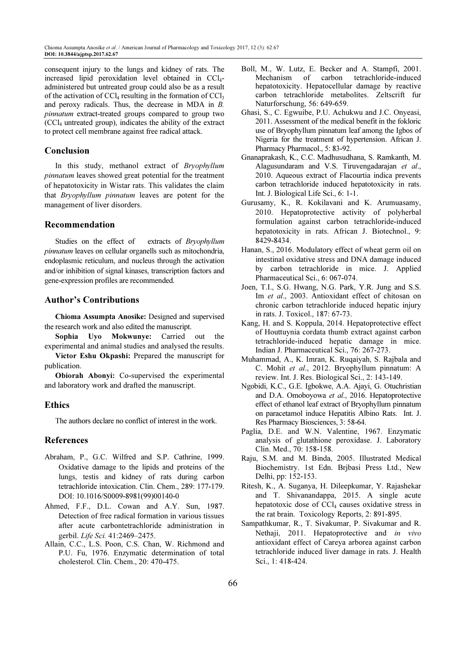consequent injury to the lungs and kidney of rats. The increased lipid peroxidation level obtained in CCl4 administered but untreated group could also be as a result of the activation of  $\text{CC}l_4$  resulting in the formation of  $\text{CC}l_3$ and peroxy radicals. Thus, the decrease in MDA in B. pinnatum extract-treated groups compared to group two  $(CCl<sub>4</sub>$  untreated group), indicates the ability of the extract to protect cell membrane against free radical attack.

# Conclusion

In this study, methanol extract of Bryophyllum pinnatum leaves showed great potential for the treatment of hepatotoxicity in Wistar rats. This validates the claim that Bryophyllum pinnatum leaves are potent for the management of liver disorders.

## Recommendation

Studies on the effect of extracts of Bryophyllum pinnatum leaves on cellular organells such as mitochondria, endoplasmic reticulum, and nucleus through the activation and/or inhibition of signal kinases, transcription factors and gene-expression profiles are recommended.

## Author's Contributions

Chioma Assumpta Anosike: Designed and supervised the research work and also edited the manuscript.

Sophia Uyo Mokwunye: Carried out the experimental and animal studies and analysed the results.

Victor Eshu Okpashi: Prepared the manuscript for publication.

Obiorah Abonyi: Co-supervised the experimental and laboratory work and drafted the manuscript.

# Ethics

The authors declare no conflict of interest in the work.

## References

- Abraham, P., G.C. Wilfred and S.P. Cathrine, 1999. Oxidative damage to the lipids and proteins of the lungs, testis and kidney of rats during carbon tetrachloride intoxication. Clin. Chem., 289: 177-179. DOI: 10.1016/S0009-8981(99)00140-0
- Ahmed, F.F., D.L. Cowan and A.Y. Sun, 1987. Detection of free radical formation in various tissues after acute carbontetrachloride administration in gerbil. Life Sci. 41:2469–2475.
- Allain, C.C., L.S. Poon, C.S. Chan, W. Richmond and P.U. Fu, 1976. Enzymatic determination of total cholesterol. Clin. Chem., 20: 470-475.
- Boll, M., W. Lutz, E. Becker and A. Stampfi, 2001. Mechanism of carbon tetrachloride-induced hepatotoxicity. Hepatocellular damage by reactive carbon tetrachloride metabolites. Zeltscrift fur Naturforschung, 56: 649-659.
- Ghasi, S., C. Egwuibe, P.U. Achukwu and J.C. Onyeasi, 2011. Assessment of the medical benefit in the fokloric use of Bryophyllum pinnatum leaf among the Igbos of Nigeria for the treatment of hypertension. African J. Pharmacy Pharmacol., 5: 83-92.
- Gnanaprakash, K., C.C. Madhusudhana, S. Ramkanth, M. Alagusundaram and V.S. Tiruvengadarajan et al., 2010. Aqueous extract of Flacourtia indica prevents carbon tetrachloride induced hepatotoxicity in rats. Int. J. Biological Life Sci., 6: 1-1.
- Gurusamy, K., R. Kokilavani and K. Arumuasamy, 2010. Hepatoprotective activity of polyherbal formulation against carbon tetrachloride-induced hepatotoxicity in rats. African J. Biotechnol., 9: 8429-8434.
- Hanan, S., 2016. Modulatory effect of wheat germ oil on intestinal oxidative stress and DNA damage induced by carbon tetrachloride in mice. J. Applied Pharmaceutical Sci., 6: 067-074.
- Joen, T.I., S.G. Hwang, N.G. Park, Y.R. Jung and S.S. Im et al., 2003. Antioxidant effect of chitosan on chronic carbon tetrachloride induced hepatic injury in rats. J. Toxicol., 187: 67-73.
- Kang, H. and S. Koppula, 2014. Hepatoprotective effect of Houttuynia cordata thumb extract against carbon tetrachloride-induced hepatic damage in mice. Indian J. Pharmaceutical Sci., 76: 267-273.
- Muhammad, A., K. Imran, K. Ruqaiyah, S. Rajbala and C. Mohit et al., 2012. Bryophyllum pinnatum: A review. Int. J. Res. Biological Sci., 2: 143-149.
- Ngobidi, K.C., G.E. Igbokwe, A.A. Ajayi, G. Otuchristian and D.A. Omoboyowa et al., 2016. Hepatoprotective effect of ethanol leaf extract of Bryophyllum pinnatum on paracetamol induce Hepatitis Albino Rats. Int. J. Res Pharmacy Biosciences, 3: 58-64.
- Paglia, D.E. and W.N. Valentine, 1967. Enzymatic analysis of glutathione peroxidase. J. Laboratory Clin. Med., 70: 158-158.
- Raju, S.M. and M. Binda, 2005. Illustrated Medical Biochemistry. 1st Edn. Brjbasi Press Ltd., New Delhi, pp: 152-153.
- Ritesh, K., A. Suganya, H. Dileepkumar, Y. Rajashekar and T. Shivanandappa, 2015. A single acute hepatotoxic dose of  $\text{CCl}_4$  causes oxidative stress in the rat brain. Toxicology Reports, 2: 891-895.
- Sampathkumar, R., T. Sivakumar, P. Sivakumar and R. Nethaji, 2011. Hepatoprotective and in vivo antioxidant effect of Careya arborea against carbon tetrachloride induced liver damage in rats. J. Health Sci., 1: 418-424.